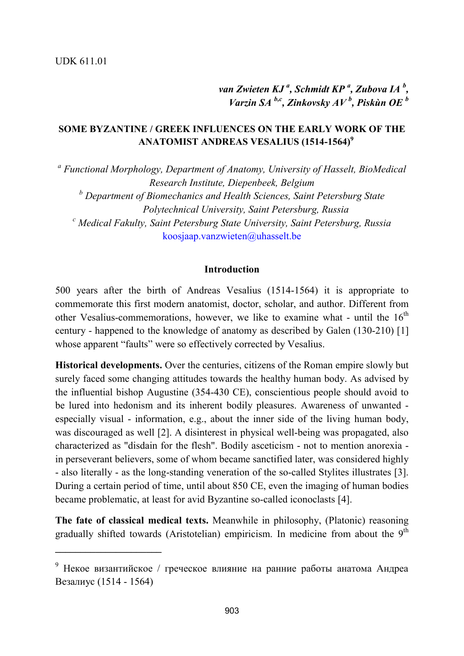**\_\_\_\_\_\_\_\_\_\_\_\_\_\_\_\_\_\_\_\_\_**

*van Zwieten KJ <sup>a</sup> , Schmidt KP <sup>a</sup> , Zubova IA <sup>b</sup> , Varzin SA b,c, Zinkovsky AV <sup>b</sup> , Piskùn OE <sup>b</sup>*

## **SOME BYZANTINE / GREEK INFLUENCES ON THE EARLY WORK OF THE ANATOMIST ANDREAS VESALIUS (1514-1564)<sup>9</sup>**

<sup>a</sup> Functional Morphology, Department of Anatomy, University of Hasselt, BioMedical *Research Institute, Diepenbeek, Belgium <sup>b</sup> Department of Biomechanics and Health Sciences, Saint Petersburg State Polytechnical University, Saint Petersburg, Russia <sup>c</sup> Medical Fakulty, Saint Petersburg State University, Saint Petersburg, Russia* [koosjaap.vanzwieten@uhasselt.be](mailto:koosjaap.vanzwieten@uhasselt.be)

#### **Introduction**

500 years after the birth of Andreas Vesalius (1514-1564) it is appropriate to commemorate this first modern anatomist, doctor, scholar, and author. Different from other Vesalius-commemorations, however, we like to examine what - until the  $16<sup>th</sup>$ century - happened to the knowledge of anatomy as described by Galen (130-210) [1] whose apparent "faults" were so effectively corrected by Vesalius.

**Historical developments.** Over the centuries, citizens of the Roman empire slowly but surely faced some changing attitudes towards the healthy human body. As advised by the influential bishop Augustine (354-430 CE), conscientious people should avoid to be lured into hedonism and its inherent bodily pleasures. Awareness of unwanted especially visual - information, e.g., about the inner side of the living human body, was discouraged as well [2]. A disinterest in physical well-being was propagated, also characterized as "disdain for the flesh". Bodily asceticism - not to mention anorexia in perseverant believers, some of whom became sanctified later, was considered highly - also literally - as the long-standing veneration of the so-called Stylites illustrates [3]. During a certain period of time, until about 850 CE, even the imaging of human bodies became problematic, at least for avid Byzantine so-called iconoclasts [4].

**The fate of classical medical texts.** Meanwhile in philosophy, (Platonic) reasoning gradually shifted towards (Aristotelian) empiricism. In medicine from about the 9<sup>th</sup>

<sup>9</sup> Некое византийское / греческое влияние на ранние работы анатома Андреа Везалиус (1514 - 1564)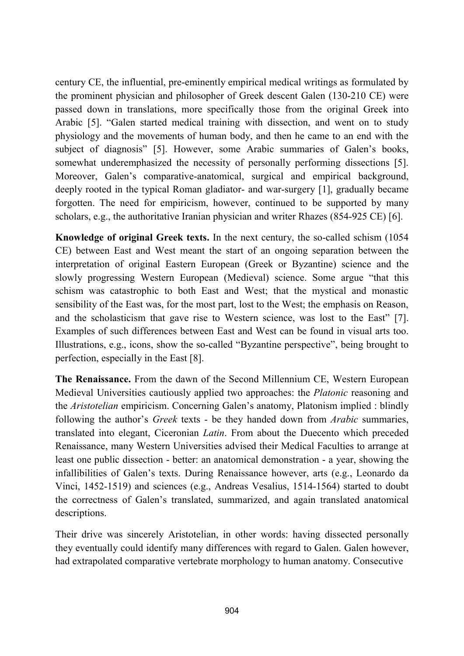century CE, the influential, pre-eminently empirical medical writings as formulated by the prominent physician and philosopher of Greek descent Galen (130-210 CE) were passed down in translations, more specifically those from the original Greek into Arabic [5]. "Galen started medical training with dissection, and went on to study physiology and the movements of human body, and then he came to an end with the subject of diagnosis" [5]. However, some Arabic summaries of Galen's books, somewhat underemphasized the necessity of personally performing dissections [5]. Moreover, Galen's comparative-anatomical, surgical and empirical background, deeply rooted in the typical Roman gladiator- and war-surgery [1], gradually became forgotten. The need for empiricism, however, continued to be supported by many scholars, e.g., the authoritative Iranian physician and writer Rhazes (854-925 CE) [6].

**Knowledge of original Greek texts.** In the next century, the so-called schism (1054 CE) between East and West meant the start of an ongoing separation between the interpretation of original Eastern European (Greek or Byzantine) science and the slowly progressing Western European (Medieval) science. Some argue "that this schism was catastrophic to both East and West; that the mystical and monastic sensibility of the East was, for the most part, lost to the West; the emphasis on Reason, and the scholasticism that gave rise to Western science, was lost to the East" [7]. Examples of such differences between East and West can be found in visual arts too. Illustrations, e.g., icons, show the so-called "Byzantine perspective", being brought to perfection, especially in the East [8].

**The Renaissance.** From the dawn of the Second Millennium CE, Western European Medieval Universities cautiously applied two approaches: the *Platonic* reasoning and the *Aristotelian* empiricism. Concerning Galen's anatomy, Platonism implied : blindly following the author's *Greek* texts - be they handed down from *Arabic* summaries, translated into elegant, Ciceronian *Latin*. From about the Duecento which preceded Renaissance, many Western Universities advised their Medical Faculties to arrange at least one public dissection - better: an anatomical demonstration - a year, showing the infallibilities of Galen's texts. During Renaissance however, arts (e.g., Leonardo da Vinci, 1452-1519) and sciences (e.g., Andreas Vesalius, 1514-1564) started to doubt the correctness of Galen's translated, summarized, and again translated anatomical descriptions.

Their drive was sincerely Aristotelian, in other words: having dissected personally they eventually could identify many differences with regard to Galen. Galen however, had extrapolated comparative vertebrate morphology to human anatomy. Consecutive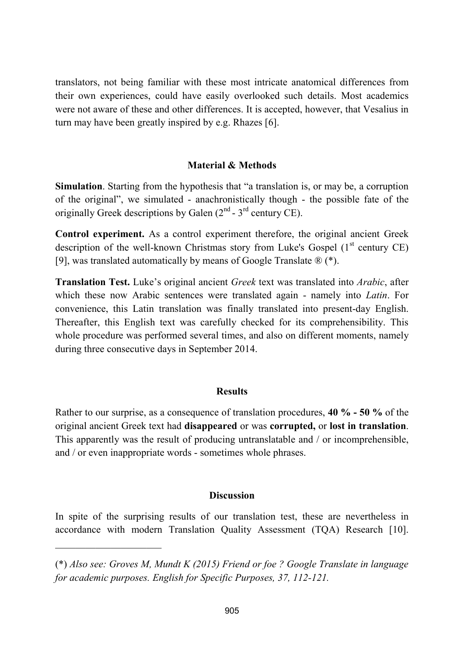translators, not being familiar with these most intricate anatomical differences from their own experiences, could have easily overlooked such details. Most academics were not aware of these and other differences. It is accepted, however, that Vesalius in turn may have been greatly inspired by e.g. Rhazes [6].

## **Material & Methods**

**Simulation**. Starting from the hypothesis that "a translation is, or may be, a corruption of the original", we simulated - anachronistically though - the possible fate of the originally Greek descriptions by Galen  $(2<sup>nd</sup> - 3<sup>rd</sup>$  century CE).

**Control experiment.** As a control experiment therefore, the original ancient Greek description of the well-known Christmas story from Luke's Gospel  $(1<sup>st</sup>$  century CE) [9], was translated automatically by means of Google Translate ® (\*).

**Translation Test.** Luke's original ancient *Greek* text was translated into *Arabic*, after which these now Arabic sentences were translated again - namely into *Latin*. For convenience, this Latin translation was finally translated into present-day English. Thereafter, this English text was carefully checked for its comprehensibility. This whole procedure was performed several times, and also on different moments, namely during three consecutive days in September 2014.

### **Results**

Rather to our surprise, as a consequence of translation procedures, **40 % - 50 %** of the original ancient Greek text had **disappeared** or was **corrupted,** or **lost in translation**. This apparently was the result of producing untranslatable and / or incomprehensible, and / or even inappropriate words - sometimes whole phrases.

### **Discussion**

In spite of the surprising results of our translation test, these are nevertheless in accordance with modern Translation Quality Assessment (TQA) Research [10].

 $\mathcal{L}_\text{max}$  and  $\mathcal{L}_\text{max}$  and  $\mathcal{L}_\text{max}$ 

<sup>(\*)</sup> *Also see: Groves M, Mundt K (2015) Friend or foe ? Google Translate in language for academic purposes. English for Specific Purposes, 37, 112-121.*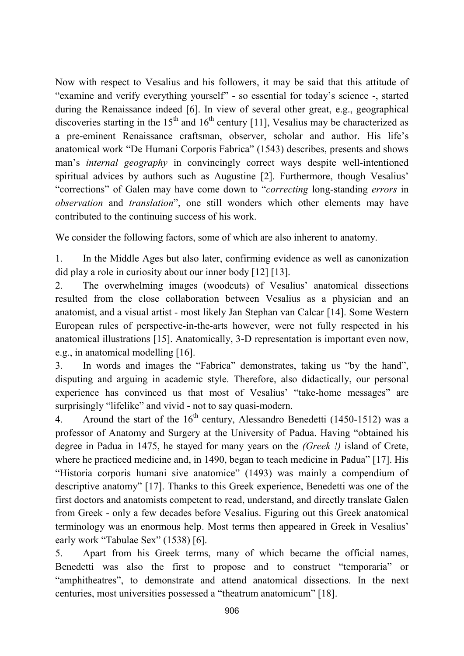Now with respect to Vesalius and his followers, it may be said that this attitude of "examine and verify everything yourself" - so essential for today's science -, started during the Renaissance indeed [6]. In view of several other great, e.g., geographical discoveries starting in the 15<sup>th</sup> and 16<sup>th</sup> century [11], Vesalius may be characterized as a pre-eminent Renaissance craftsman, observer, scholar and author. His life's anatomical work "De Humani Corporis Fabrica" (1543) describes, presents and shows man's *internal geography* in convincingly correct ways despite well-intentioned spiritual advices by authors such as Augustine [2]. Furthermore, though Vesalius' "corrections" of Galen may have come down to "*correcting* long-standing *errors* in *observation* and *translation*", one still wonders which other elements may have contributed to the continuing success of his work.

We consider the following factors, some of which are also inherent to anatomy.

1. In the Middle Ages but also later, confirming evidence as well as canonization did play a role in curiosity about our inner body [12] [13].

2. The overwhelming images (woodcuts) of Vesalius' anatomical dissections resulted from the close collaboration between Vesalius as a physician and an anatomist, and a visual artist - most likely Jan Stephan van Calcar [14]. Some Western European rules of perspective-in-the-arts however, were not fully respected in his anatomical illustrations [15]. Anatomically, 3-D representation is important even now, e.g., in anatomical modelling [16].

3. In words and images the "Fabrica" demonstrates, taking us "by the hand", disputing and arguing in academic style. Therefore, also didactically, our personal experience has convinced us that most of Vesalius' "take-home messages" are surprisingly "lifelike" and vivid - not to say quasi-modern.

4. Around the start of the  $16<sup>th</sup>$  century, Alessandro Benedetti (1450-1512) was a professor of Anatomy and Surgery at the University of Padua. Having "obtained his degree in Padua in 1475, he stayed for many years on the *(Greek !)* island of Crete, where he practiced medicine and, in 1490, began to teach medicine in Padua" [17]. His "Historia corporis humani sive anatomice" (1493) was mainly a compendium of descriptive anatomy" [17]. Thanks to this Greek experience, Benedetti was one of the first doctors and anatomists competent to read, understand, and directly translate Galen from Greek - only a few decades before Vesalius. Figuring out this Greek anatomical terminology was an enormous help. Most terms then appeared in Greek in Vesalius' early work "Tabulae Sex" (1538) [6].

5. Apart from his Greek terms, many of which became the official names, Benedetti was also the first to propose and to construct "temporaria" or "amphitheatres", to demonstrate and attend anatomical dissections. In the next centuries, most universities possessed a "theatrum anatomicum" [18].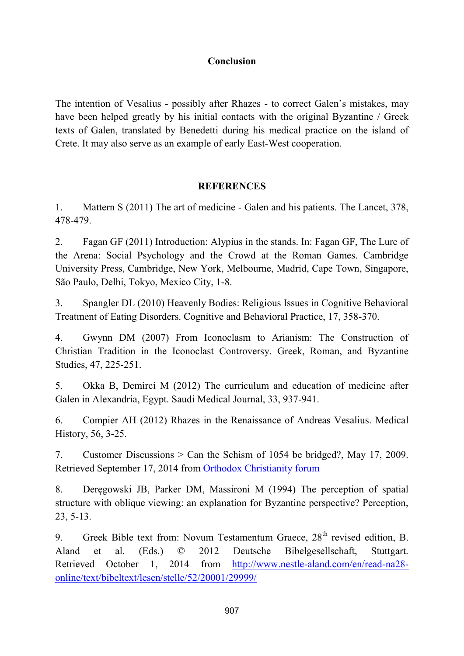# **Conclusion**

The intention of Vesalius - possibly after Rhazes - to correct Galen's mistakes, may have been helped greatly by his initial contacts with the original Byzantine / Greek texts of Galen, translated by Benedetti during his medical practice on the island of Crete. It may also serve as an example of early East-West cooperation.

## **REFERENCES**

1. Mattern S (2011) The art of medicine - Galen and his patients. The Lancet, 378, 478-479.

2. Fagan GF (2011) Introduction: Alypius in the stands. In: Fagan GF, The Lure of the Arena: Social Psychology and the Crowd at the Roman Games. Cambridge University Press, Cambridge, New York, Melbourne, Madrid, Cape Town, Singapore, São Paulo, Delhi, Tokyo, Mexico City, 1-8.

3. Spangler DL (2010) Heavenly Bodies: Religious Issues in Cognitive Behavioral Treatment of Eating Disorders. Cognitive and Behavioral Practice, 17, 358-370.

4. Gwynn DM (2007) From Iconoclasm to Arianism: The Construction of Christian Tradition in the Iconoclast Controversy. Greek, Roman, and Byzantine Studies, 47, 225-251.

5. Okka B, Demirci M (2012) The curriculum and education of medicine after Galen in Alexandria, Egypt. Saudi Medical Journal, 33, 937-941.

6. Compier AH (2012) Rhazes in the Renaissance of Andreas Vesalius. Medical History, 56, 3-25.

7. Customer Discussions > Can the Schism of 1054 be bridged?, May 17, 2009. Retrieved September 17, 2014 from [Orthodox Christianity forum](http://www.amazon.com/forum/orthodox%20christianity/ref=cm_cd_f_h_dp_t?_encoding=UTF8&cdAnchor=orthodox%20christianity&cdForum=Fx1AFLUNX6VIAEQ)

8. Deręgowski JB, Parker DM, Massironi M (1994) The perception of spatial structure with oblique viewing: an explanation for Byzantine perspective? Perception, 23, 5-13.

9. Greek Bible text from: Novum Testamentum Graece, 28<sup>th</sup> revised edition, B. Aland et al. (Eds.) © 2012 Deutsche Bibelgesellschaft, Stuttgart. Retrieved October 1, 2014 from [http://www.nestle-aland.com/en/read-na28](http://www.nestle-aland.com/en/read-na28-online/text/bibeltext/lesen/stelle/52/20001/29999/) [online/text/bibeltext/lesen/stelle/52/20001/29999/](http://www.nestle-aland.com/en/read-na28-online/text/bibeltext/lesen/stelle/52/20001/29999/)